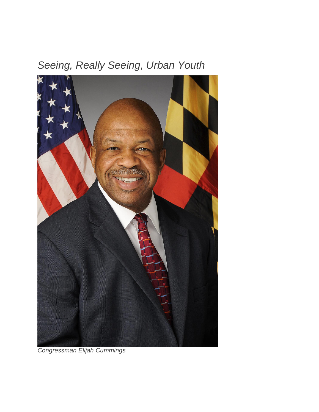## *Seeing, Really Seeing, Urban Youth*



*Congressman Elijah Cummings*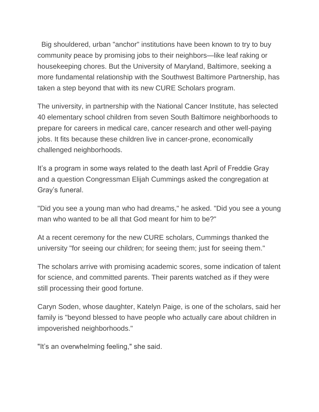Big shouldered, urban "anchor" institutions have been known to try to buy community peace by promising jobs to their neighbors—like leaf raking or housekeeping chores. But the University of Maryland, Baltimore, seeking a more fundamental relationship with the Southwest Baltimore Partnership, has taken a step beyond that with its new CURE Scholars program.

The university, in partnership with the National Cancer Institute, has selected 40 elementary school children from seven South Baltimore neighborhoods to prepare for careers in medical care, cancer research and other well-paying jobs. It fits because these children live in cancer-prone, economically challenged neighborhoods.

It's a program in some ways related to the death last April of Freddie Gray and a question Congressman Elijah Cummings asked the congregation at Gray's funeral.

"Did you see a young man who had dreams," he asked. "Did you see a young man who wanted to be all that God meant for him to be?"

At a recent ceremony for the new CURE scholars, Cummings thanked the university "for seeing our children; for seeing them; just for seeing them."

The scholars arrive with promising academic scores, some indication of talent for science, and committed parents. Their parents watched as if they were still processing their good fortune.

Caryn Soden, whose daughter, Katelyn Paige, is one of the scholars, said her family is "beyond blessed to have people who actually care about children in impoverished neighborhoods."

"It's an overwhelming feeling," she said.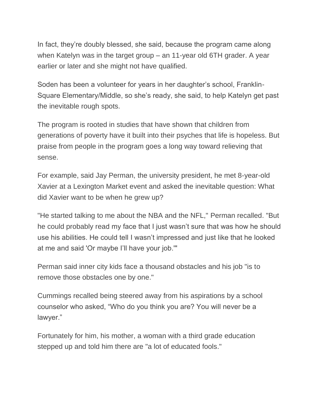In fact, they're doubly blessed, she said, because the program came along when Katelyn was in the target group – an 11-year old 6TH grader. A year earlier or later and she might not have qualified.

Soden has been a volunteer for years in her daughter's school, Franklin-Square Elementary/Middle, so she's ready, she said, to help Katelyn get past the inevitable rough spots.

The program is rooted in studies that have shown that children from generations of poverty have it built into their psyches that life is hopeless. But praise from people in the program goes a long way toward relieving that sense.

For example, said Jay Perman, the university president, he met 8-year-old Xavier at a Lexington Market event and asked the inevitable question: What did Xavier want to be when he grew up?

"He started talking to me about the NBA and the NFL," Perman recalled. "But he could probably read my face that I just wasn't sure that was how he should use his abilities. He could tell I wasn't impressed and just like that he looked at me and said 'Or maybe I'll have your job.'"

Perman said inner city kids face a thousand obstacles and his job "is to remove those obstacles one by one."

Cummings recalled being steered away from his aspirations by a school counselor who asked, "Who do you think you are? You will never be a lawyer."

Fortunately for him, his mother, a woman with a third grade education stepped up and told him there are "a lot of educated fools."